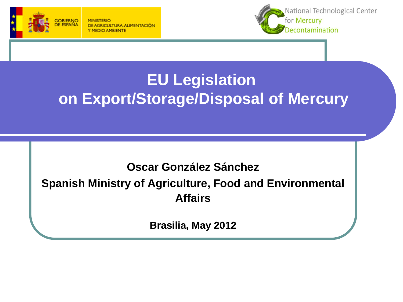



## **EU Legislation on Export/Storage/Disposal of Mercury**

#### **Oscar González Sánchez Spanish Ministry of Agriculture, Food and Environmental Affairs**

**Brasilia, May 2012**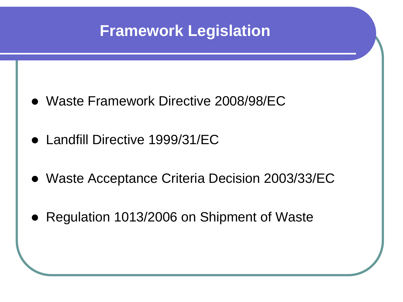

- Waste Framework Directive 2008/98/EC
- Landfill Directive 1999/31/EC
- Waste Acceptance Criteria Decision 2003/33/EC
- Regulation 1013/2006 on Shipment of Waste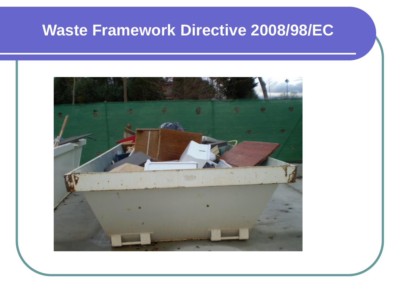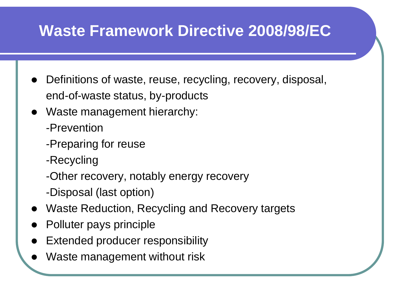- Definitions of waste, reuse, recycling, recovery, disposal, end-of-waste status, by-products
- Waste management hierarchy:
	- -Prevention
	- -Preparing for reuse
	- -Recycling
	- -Other recovery, notably energy recovery
	- -Disposal (last option)
- Waste Reduction, Recycling and Recovery targets
- Polluter pays principle
- Extended producer responsibility
- Waste management without risk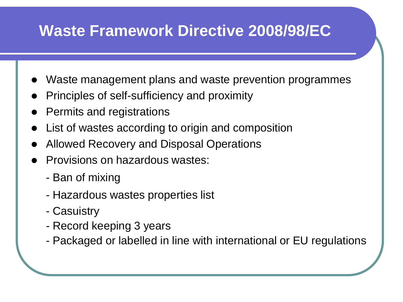- Waste management plans and waste prevention programmes
- Principles of self-sufficiency and proximity
- Permits and registrations
- List of wastes according to origin and composition
- Allowed Recovery and Disposal Operations
- Provisions on hazardous wastes:
	- Ban of mixing
	- Hazardous wastes properties list
	- Casuistry
	- Record keeping 3 years
	- Packaged or labelled in line with international or EU regulations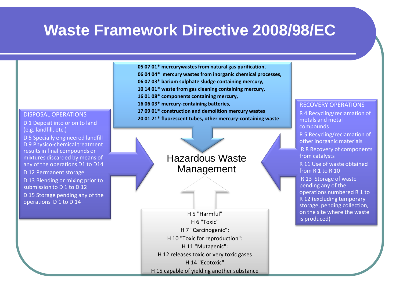

- **06 04 04\* mercury wastes from inorganic chemical processes,**
- **06 07 03\* barium sulphate sludge containing mercury,**
- **10 14 01\* waste from gas cleaning containing mercury,**
- **16 01 08\* components containing mercury,**
- **16 06 03\* mercury-containing batteries,**
- **17 09 01\* construction and demolition mercury wastes**
- **20 01 21\* fluorescent tubes, other mercury-containing waste** DISPOSAL OPERATIONS

D 1 Deposit into or on to land (e.g. landfill, etc.)

D 5 Specially engineered landfill D 9 Physico-chemical treatment results in final compounds or mixtures discarded by means of any of the operations D1 to D14

D 12 Permanent storage

D 13 Blending or mixing prior to submission to D 1 to D 12

D 15 Storage pending any of the operations D 1 to D 14

Hazardous Waste Management

H 5 "Harmful" H 6 "Toxic" H 7 "Carcinogenic": H 10 "Toxic for reproduction": H 11 "Mutagenic": H 12 releases toxic or very toxic gases H 14 "Ecotoxic" H 15 capable of yielding another substance

#### RECOVERY OPERATIONS

R 4 Recycling/reclamation of metals and metal compounds

R 5 Recycling/reclamation of other inorganic materials

R 8 Recovery of components from catalysts

R 11 Use of waste obtained from R 1 to R 10

R 13 Storage of waste pending any of the operations numbered R 1 to R 12 (excluding temporary storage, pending collection, on the site where the waste is produced)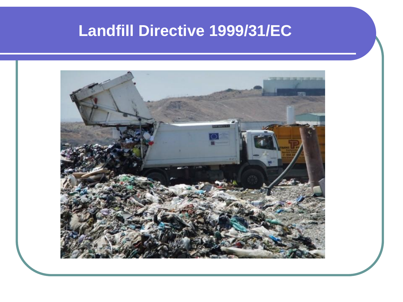#### **Landfill Directive 1999/31/EC**

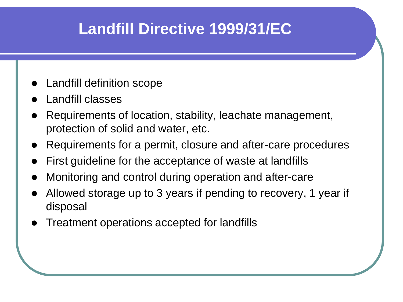#### **Landfill Directive 1999/31/EC**

- Landfill definition scope
- Landfill classes
- Requirements of location, stability, leachate management, protection of solid and water, etc.
- Requirements for a permit, closure and after-care procedures
- First guideline for the acceptance of waste at landfills
- Monitoring and control during operation and after-care
- Allowed storage up to 3 years if pending to recovery, 1 year if disposal
- Treatment operations accepted for landfills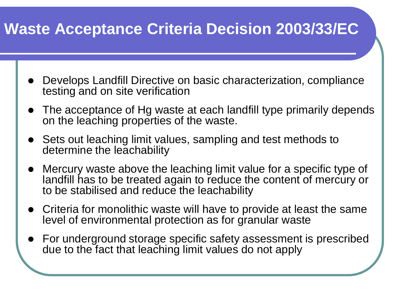### **Waste Acceptance Criteria Decision 2003/33/EC**

- Develops Landfill Directive on basic characterization, compliance testing and on site verification
- The acceptance of Hg waste at each landfill type primarily depends on the leaching properties of the waste.
- Sets out leaching limit values, sampling and test methods to determine the leachability
- Mercury waste above the leaching limit value for a specific type of landfill has to be treated again to reduce the content of mercury or to be stabilised and reduce the leachability
- Criteria for monolithic waste will have to provide at least the same level of environmental protection as for granular waste
- For underground storage specific safety assessment is prescribed due to the fact that leaching limit values do not apply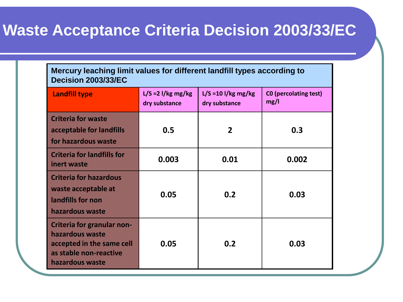#### **Waste Acceptance Criteria Decision 2003/33/EC**

| Mercury leaching limit values for different landfill types according to<br><b>Decision 2003/33/EC</b>                   |                                       |                                        |                                      |  |  |  |  |  |
|-------------------------------------------------------------------------------------------------------------------------|---------------------------------------|----------------------------------------|--------------------------------------|--|--|--|--|--|
| <b>Landfill type</b>                                                                                                    | $L/S = 2$ l/kg mg/kg<br>dry substance | $L/S = 10$ l/kg mg/kg<br>dry substance | <b>CO</b> (percolating test)<br>mg/l |  |  |  |  |  |
| <b>Criteria for waste</b><br>acceptable for landfills<br>for hazardous waste                                            | 0.5                                   | 2                                      | 0.3                                  |  |  |  |  |  |
| <b>Criteria for landfills for</b><br>inert waste                                                                        | 0.003                                 | 0.01                                   | 0.002                                |  |  |  |  |  |
| <b>Criteria for hazardous</b><br>waste acceptable at<br>landfills for non<br>hazardous waste                            | 0.05                                  | 0.2                                    | 0.03                                 |  |  |  |  |  |
| Criteria for granular non-<br>hazardous waste<br>accepted in the same cell<br>as stable non-reactive<br>hazardous waste | 0.05                                  | 0.2                                    | 0.03                                 |  |  |  |  |  |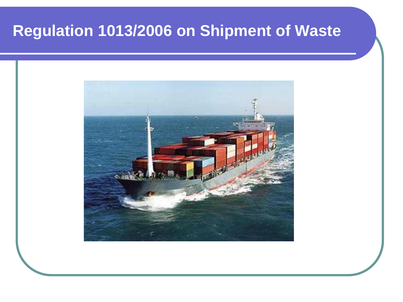#### **Regulation 1013/2006 on Shipment of Waste**

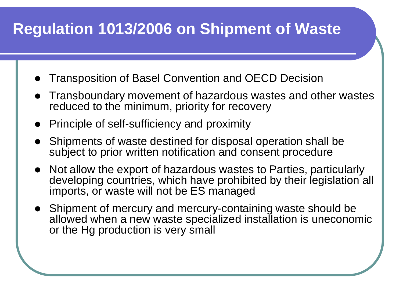## **Regulation 1013/2006 on Shipment of Waste**

- Transposition of Basel Convention and OECD Decision
- Transboundary movement of hazardous wastes and other wastes reduced to the minimum, priority for recovery
- Principle of self-sufficiency and proximity
- Shipments of waste destined for disposal operation shall be subject to prior written notification and consent procedure
- Not allow the export of hazardous wastes to Parties, particularly developing countries, which have prohibited by their legislation all imports, or waste will not be ES managed
- Shipment of mercury and mercury-containing waste should be allowed when a new waste specialized installation is uneconomic or the Hg production is very small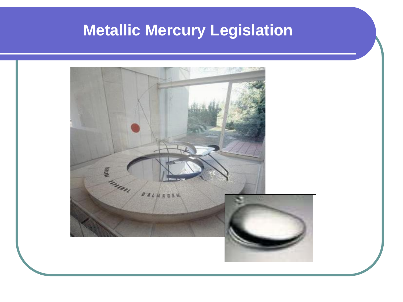### **Metallic Mercury Legislation**

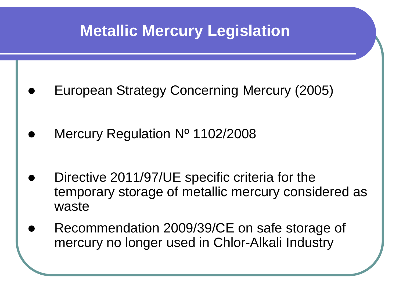#### **Metallic Mercury Legislation**

- European Strategy Concerning Mercury (2005)
- Mercury Regulation Nº 1102/2008
- Directive 2011/97/UE specific criteria for the temporary storage of metallic mercury considered as waste
- Recommendation 2009/39/CE on safe storage of mercury no longer used in Chlor-Alkali Industry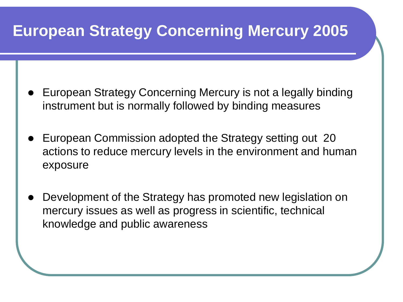#### **European Strategy Concerning Mercury 2005**

- European Strategy Concerning Mercury is not a legally binding instrument but is normally followed by binding measures
- European Commission adopted the Strategy setting out 20 actions to reduce mercury levels in the environment and human exposure
- Development of the Strategy has promoted new legislation on mercury issues as well as progress in scientific, technical knowledge and public awareness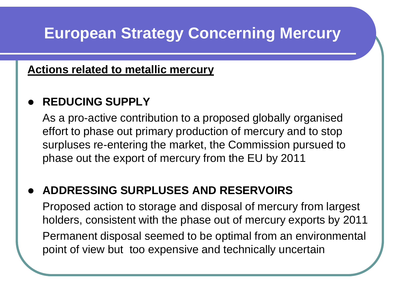### **European Strategy Concerning Mercury**

#### **Actions related to metallic mercury**

#### **REDUCING SUPPLY**

As a pro-active contribution to a proposed globally organised effort to phase out primary production of mercury and to stop surpluses re-entering the market, the Commission pursued to phase out the export of mercury from the EU by 2011

#### **ADDRESSING SURPLUSES AND RESERVOIRS**

Proposed action to storage and disposal of mercury from largest holders, consistent with the phase out of mercury exports by 2011

Permanent disposal seemed to be optimal from an environmental point of view but too expensive and technically uncertain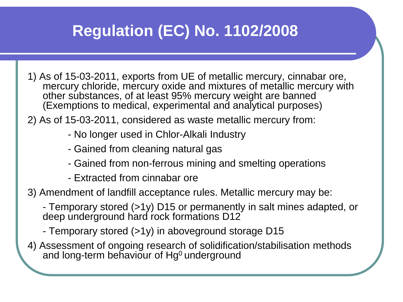## **Regulation (EC) No. 1102/2008**

- 1) As of 15-03-2011, exports from UE of metallic mercury, cinnabar ore, mercury chloride, mercury oxide and mixtures of metallic mercury with other substances, of at least 95% mercury weight are banned (Exemptions to medical, experimental and analytical purposes)
- 2) As of 15-03-2011, considered as waste metallic mercury from:
	- No longer used in Chlor-Alkali Industry
	- Gained from cleaning natural gas
	- Gained from non-ferrous mining and smelting operations
	- Extracted from cinnabar ore
- 3) Amendment of landfill acceptance rules. Metallic mercury may be:
	- Temporary stored (>1y) D15 or permanently in salt mines adapted, or deep underground hard rock formations D12
	- Temporary stored (>1y) in aboveground storage D15
- 4) Assessment of ongoing research of solidification/stabilisation methods and long-term behaviour of Hg<sup>0</sup> underground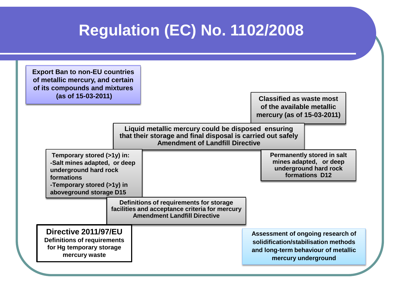### **Regulation (EC) No. 1102/2008**

| <b>Export Ban to non-EU countries</b><br>of metallic mercury, and certain<br>of its compounds and mixtures<br>(as of 15-03-2011)                           |  |                                                                                                                                  | <b>Classified as waste most</b>                                                                                                         |                                                                                                        |
|------------------------------------------------------------------------------------------------------------------------------------------------------------|--|----------------------------------------------------------------------------------------------------------------------------------|-----------------------------------------------------------------------------------------------------------------------------------------|--------------------------------------------------------------------------------------------------------|
|                                                                                                                                                            |  |                                                                                                                                  | of the available metallic<br>mercury (as of 15-03-2011)                                                                                 |                                                                                                        |
|                                                                                                                                                            |  | Liquid metallic mercury could be disposed ensuring<br><b>Amendment of Landfill Directive</b>                                     | that their storage and final disposal is carried out safely                                                                             |                                                                                                        |
| Temporary stored (>1y) in:<br>-Salt mines adapted, or deep<br>underground hard rock<br>formations<br>-Temporary stored (>1y) in<br>aboveground storage D15 |  |                                                                                                                                  |                                                                                                                                         | <b>Permanently stored in salt</b><br>mines adapted, or deep<br>underground hard rock<br>formations D12 |
|                                                                                                                                                            |  | Definitions of requirements for storage<br>facilities and acceptance criteria for mercury<br><b>Amendment Landfill Directive</b> |                                                                                                                                         |                                                                                                        |
| Directive 2011/97/EU<br><b>Definitions of requirements</b><br>for Hg temporary storage<br>mercury waste                                                    |  |                                                                                                                                  | Assessment of ongoing research of<br>solidification/stabilisation methods<br>and long-term behaviour of metallic<br>mercury underground |                                                                                                        |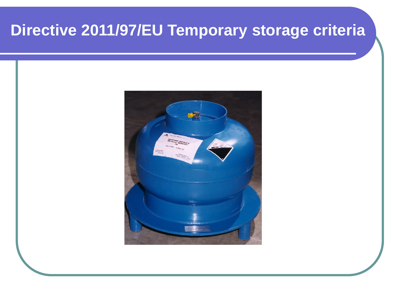## **Directive 2011/97/EU Temporary storage criteria**

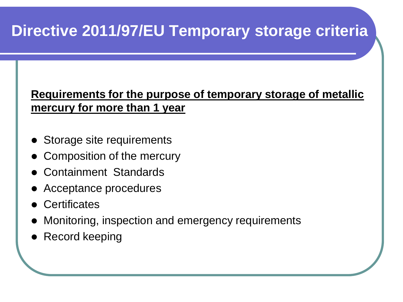## **Directive 2011/97/EU Temporary storage criteria**

#### **Requirements for the purpose of temporary storage of metallic mercury for more than 1 year**

- Storage site requirements
- Composition of the mercury
- Containment Standards
- Acceptance procedures
- **Certificates**
- Monitoring, inspection and emergency requirements
- Record keeping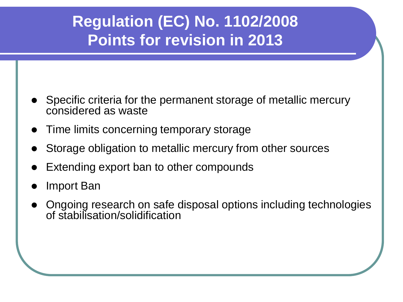### **Regulation (EC) No. 1102/2008 Points for revision in 2013**

- Specific criteria for the permanent storage of metallic mercury considered as waste
- Time limits concerning temporary storage
- Storage obligation to metallic mercury from other sources
- Extending export ban to other compounds
- Import Ban
- Ongoing research on safe disposal options including technologies of stabilisation/solidification